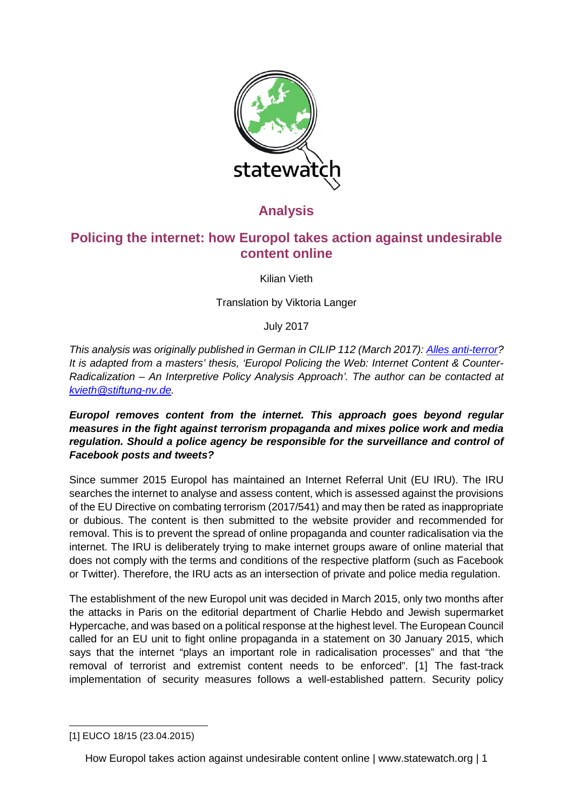

# **Analysis**

# **Policing the internet: how Europol takes action against undesirable content online**

Kilian Vieth

Translation by Viktoria Langer

July 2017

*This analysis was originally published in German in CILIP 112 (March 2017): [Alles anti-terror?](http://www.cilip.de/2017/03/05/112-maerz-2017-alles-anti-terror/) It is adapted from a masters' thesis, 'Europol Policing the Web: Internet Content & Counter-Radicalization – An Interpretive Policy Analysis Approach'. The author can be contacted at [kvieth@stiftung-nv.de.](mailto:kvieth@stiftung-nv.de)* 

*Europol removes content from the internet. This approach goes beyond regular measures in the fight against terrorism propaganda and mixes police work and media regulation. Should a police agency be responsible for the surveillance and control of Facebook posts and tweets?*

Since summer 2015 Europol has maintained an Internet Referral Unit (EU IRU). The IRU searches the internet to analyse and assess content, which is assessed against the provisions of the EU Directive on combating terrorism (2017/541) and may then be rated as inappropriate or dubious. The content is then submitted to the website provider and recommended for removal. This is to prevent the spread of online propaganda and counter radicalisation via the internet. The IRU is deliberately trying to make internet groups aware of online material that does not comply with the terms and conditions of the respective platform (such as Facebook or Twitter). Therefore, the IRU acts as an intersection of private and police media regulation.

The establishment of the new Europol unit was decided in March 2015, only two months after the attacks in Paris on the editorial department of Charlie Hebdo and Jewish supermarket Hypercache, and was based on a political response at the highest level. The European Council called for an EU unit to fight online propaganda in a statement on 30 January 2015, which says that the internet "plays an important role in radicalisation processes" and that "the removal of terrorist and extremist content needs to be enforced". [[1](#page-0-0)] The fast-track implementation of security measures follows a well-established pattern. Security policy

<span id="page-0-0"></span>-[1] EUCO 18/15 (23.04.2015)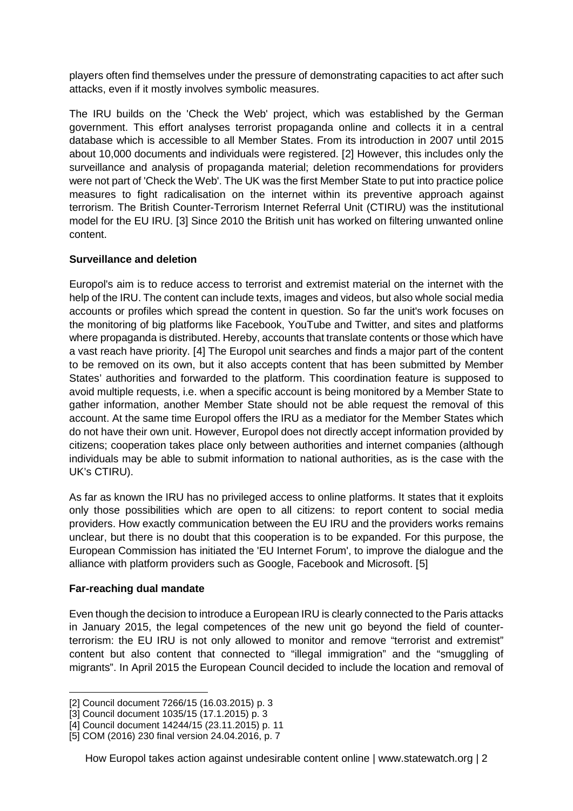players often find themselves under the pressure of demonstrating capacities to act after such attacks, even if it mostly involves symbolic measures.

The IRU builds on the 'Check the Web' project, which was established by the German government. This effort analyses terrorist propaganda online and collects it in a central database which is accessible to all Member States. From its introduction in 2007 until 2015 about 10,000 documents and individuals were registered. [[2\]](#page-1-0) However, this includes only the surveillance and analysis of propaganda material; deletion recommendations for providers were not part of 'Check the Web'. The UK was the first Member State to put into practice police measures to fight radicalisation on the internet within its preventive approach against terrorism. The British Counter-Terrorism Internet Referral Unit (CTIRU) was the institutional model for the EU IRU. [\[3\]](#page-1-1) Since 2010 the British unit has worked on filtering unwanted online content.

## **Surveillance and deletion**

Europol's aim is to reduce access to terrorist and extremist material on the internet with the help of the IRU. The content can include texts, images and videos, but also whole social media accounts or profiles which spread the content in question. So far the unit's work focuses on the monitoring of big platforms like Facebook, YouTube and Twitter, and sites and platforms where propaganda is distributed. Hereby, accounts that translate contents or those which have a vast reach have priority. [[4](#page-1-2)] The Europol unit searches and finds a major part of the content to be removed on its own, but it also accepts content that has been submitted by Member States' authorities and forwarded to the platform. This coordination feature is supposed to avoid multiple requests, i.e. when a specific account is being monitored by a Member State to gather information, another Member State should not be able request the removal of this account. At the same time Europol offers the IRU as a mediator for the Member States which do not have their own unit. However, Europol does not directly accept information provided by citizens; cooperation takes place only between authorities and internet companies (although individuals may be able to submit information to national authorities, as is the case with the UK's CTIRU).

As far as known the IRU has no privileged access to online platforms. It states that it exploits only those possibilities which are open to all citizens: to report content to social media providers. How exactly communication between the EU IRU and the providers works remains unclear, but there is no doubt that this cooperation is to be expanded. For this purpose, the European Commission has initiated the 'EU Internet Forum', to improve the dialogue and the alliance with platform providers such as Google, Facebook and Microsoft. [[5\]](#page-1-3)

#### **Far-reaching dual mandate**

-

Even though the decision to introduce a European IRU is clearly connected to the Paris attacks in January 2015, the legal competences of the new unit go beyond the field of counterterrorism: the EU IRU is not only allowed to monitor and remove "terrorist and extremist" content but also content that connected to "illegal immigration" and the "smuggling of migrants". In April 2015 the European Council decided to include the location and removal of

<sup>[2]</sup> Council document 7266/15 (16.03.2015) p. 3

<span id="page-1-1"></span><span id="page-1-0"></span><sup>[3]</sup> Council document 1035/15 (17.1.2015) p. 3

<span id="page-1-2"></span><sup>[4]</sup> Council document 14244/15 (23.11.2015) p. 11

<span id="page-1-3"></span><sup>[5]</sup> COM (2016) 230 final version 24.04.2016, p. 7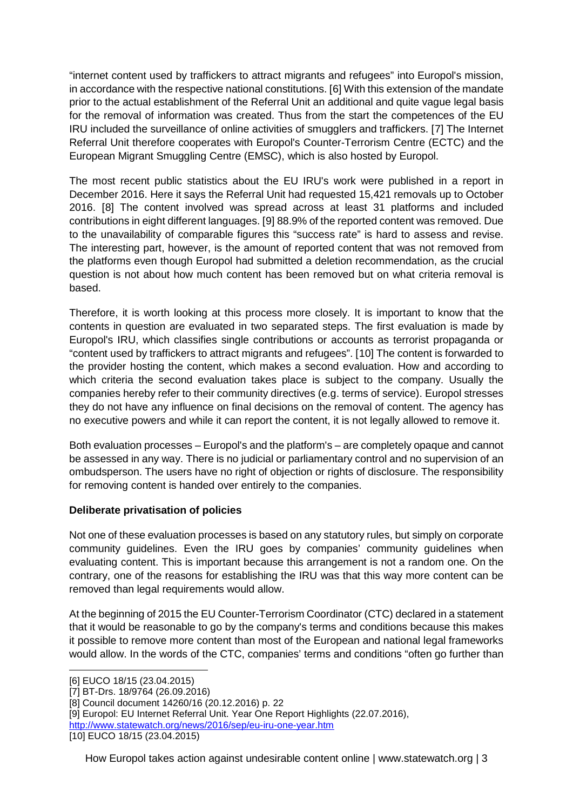"internet content used by traffickers to attract migrants and refugees" into Europol's mission, in accordance with the respective national constitutions. [[6\]](#page-2-0) With this extension of the mandate prior to the actual establishment of the Referral Unit an additional and quite vague legal basis for the removal of information was created. Thus from the start the competences of the EU IRU included the surveillance of online activities of smugglers and traffickers. [[7](#page-2-1)] The Internet Referral Unit therefore cooperates with Europol's Counter-Terrorism Centre (ECTC) and the European Migrant Smuggling Centre (EMSC), which is also hosted by Europol.

The most recent public statistics about the EU IRU's work were published in a report in December 2016. Here it says the Referral Unit had requested 15,421 removals up to October 2016. [[8](#page-2-2)] The content involved was spread across at least 31 platforms and included contributions in eight different languages. [[9](#page-2-3)] 88.9% of the reported content was removed. Due to the unavailability of comparable figures this "success rate" is hard to assess and revise. The interesting part, however, is the amount of reported content that was not removed from the platforms even though Europol had submitted a deletion recommendation, as the crucial question is not about how much content has been removed but on what criteria removal is based.

Therefore, it is worth looking at this process more closely. It is important to know that the contents in question are evaluated in two separated steps. The first evaluation is made by Europol's IRU, which classifies single contributions or accounts as terrorist propaganda or "content used by traffickers to attract migrants and refugees". [[10](#page-2-4)] The content is forwarded to the provider hosting the content, which makes a second evaluation. How and according to which criteria the second evaluation takes place is subject to the company. Usually the companies hereby refer to their community directives (e.g. terms of service). Europol stresses they do not have any influence on final decisions on the removal of content. The agency has no executive powers and while it can report the content, it is not legally allowed to remove it.

Both evaluation processes – Europol's and the platform's – are completely opaque and cannot be assessed in any way. There is no judicial or parliamentary control and no supervision of an ombudsperson. The users have no right of objection or rights of disclosure. The responsibility for removing content is handed over entirely to the companies.

# **Deliberate privatisation of policies**

Not one of these evaluation processes is based on any statutory rules, but simply on corporate community guidelines. Even the IRU goes by companies' community guidelines when evaluating content. This is important because this arrangement is not a random one. On the contrary, one of the reasons for establishing the IRU was that this way more content can be removed than legal requirements would allow.

At the beginning of 2015 the EU Counter-Terrorism Coordinator (CTC) declared in a statement that it would be reasonable to go by the company's terms and conditions because this makes it possible to remove more content than most of the European and national legal frameworks would allow. In the words of the CTC, companies' terms and conditions "often go further than

<http://www.statewatch.org/news/2016/sep/eu-iru-one-year.htm>

<sup>-</sup>[6] EUCO 18/15 (23.04.2015)

<span id="page-2-1"></span><span id="page-2-0"></span><sup>[7]</sup> BT-Drs. 18/9764 (26.09.2016)

<span id="page-2-2"></span><sup>[8]</sup> Council document 14260/16 (20.12.2016) p. 22

<span id="page-2-3"></span><sup>[9]</sup> Europol: EU Internet Referral Unit. Year One Report Highlights (22.07.2016),

<span id="page-2-4"></span><sup>[10]</sup> EUCO 18/15 (23.04.2015)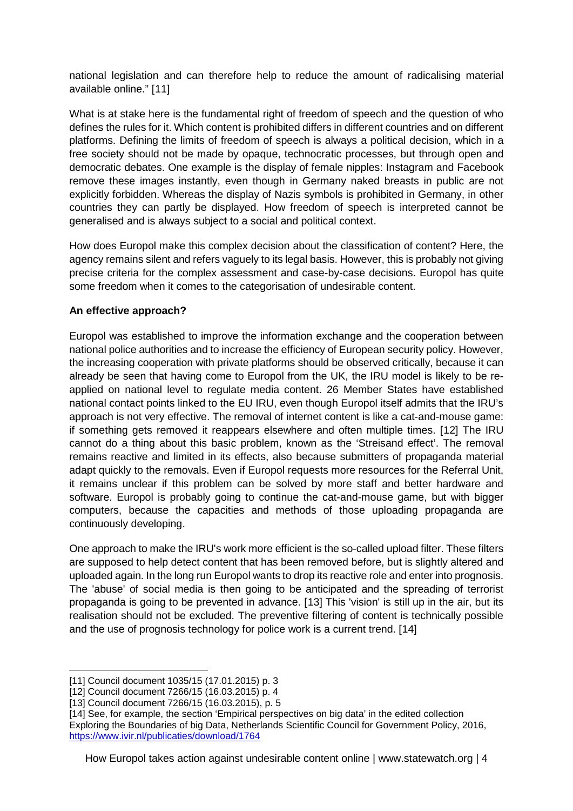national legislation and can therefore help to reduce the amount of radicalising material available online." [[11](#page-3-0)]

What is at stake here is the fundamental right of freedom of speech and the question of who defines the rules for it. Which content is prohibited differs in different countries and on different platforms. Defining the limits of freedom of speech is always a political decision, which in a free society should not be made by opaque, technocratic processes, but through open and democratic debates. One example is the display of female nipples: Instagram and Facebook remove these images instantly, even though in Germany naked breasts in public are not explicitly forbidden. Whereas the display of Nazis symbols is prohibited in Germany, in other countries they can partly be displayed. How freedom of speech is interpreted cannot be generalised and is always subject to a social and political context.

How does Europol make this complex decision about the classification of content? Here, the agency remains silent and refers vaguely to its legal basis. However, this is probably not giving precise criteria for the complex assessment and case-by-case decisions. Europol has quite some freedom when it comes to the categorisation of undesirable content.

## **An effective approach?**

Europol was established to improve the information exchange and the cooperation between national police authorities and to increase the efficiency of European security policy. However, the increasing cooperation with private platforms should be observed critically, because it can already be seen that having come to Europol from the UK, the IRU model is likely to be reapplied on national level to regulate media content. 26 Member States have established national contact points linked to the EU IRU, even though Europol itself admits that the IRU's approach is not very effective. The removal of internet content is like a cat-and-mouse game: if something gets removed it reappears elsewhere and often multiple times. [[12](#page-3-1)] The IRU cannot do a thing about this basic problem, known as the 'Streisand effect'. The removal remains reactive and limited in its effects, also because submitters of propaganda material adapt quickly to the removals. Even if Europol requests more resources for the Referral Unit, it remains unclear if this problem can be solved by more staff and better hardware and software. Europol is probably going to continue the cat-and-mouse game, but with bigger computers, because the capacities and methods of those uploading propaganda are continuously developing.

One approach to make the IRU's work more efficient is the so-called upload filter. These filters are supposed to help detect content that has been removed before, but is slightly altered and uploaded again. In the long run Europol wants to drop its reactive role and enter into prognosis. The 'abuse' of social media is then going to be anticipated and the spreading of terrorist propaganda is going to be prevented in advance. [[13](#page-3-2)] This 'vision' is still up in the air, but its realisation should not be excluded. The preventive filtering of content is technically possible and the use of prognosis technology for police work is a current trend. [[14](#page-3-3)]

<span id="page-3-0"></span><sup>-</sup>[11] Council document 1035/15 (17.01.2015) p. 3

<span id="page-3-1"></span><sup>[12]</sup> Council document 7266/15 (16.03.2015) p. 4

<span id="page-3-2"></span><sup>[13]</sup> Council document 7266/15 (16.03.2015), p. 5

<span id="page-3-3"></span><sup>[14]</sup> See, for example, the section 'Empirical perspectives on big data' in the edited collection Exploring the Boundaries of big Data, Netherlands Scientific Council for Government Policy, 2016, <https://www.ivir.nl/publicaties/download/1764>